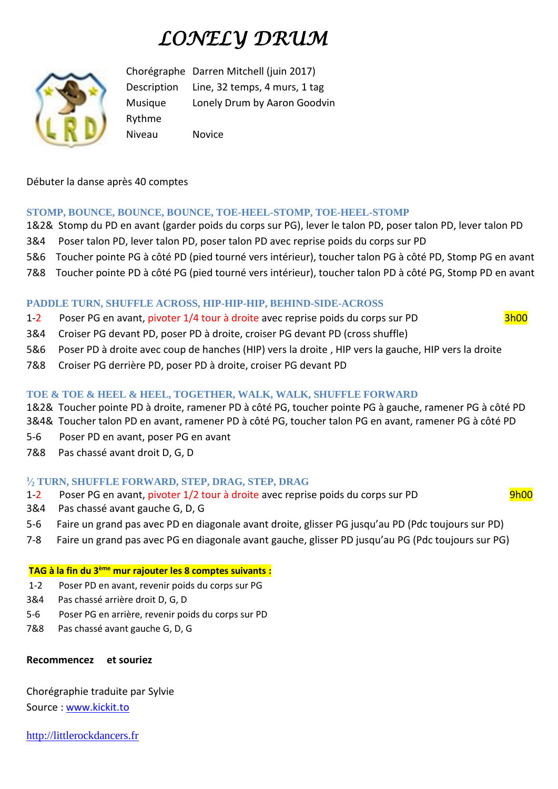# *LONELY DRUM*



Chorégraphe Darren Mitchell (juin 2017) Description Line, 32 temps, 4 murs, 1 tag Musique Lonely Drum by Aaron Goodvin Rythme Niveau Novice

Débuter la danse après 40 comptes

## **STOMP, BOUNCE, BOUNCE, BOUNCE, TOE-HEEL-STOMP, TOE-HEEL-STOMP**

- 1&2& Stomp du PD en avant (garder poids du corps sur PG), lever le talon PD, poser talon PD, lever talon PD
- 3&4 Poser talon PD, lever talon PD, poser talon PD avec reprise poids du corps sur PD
- 5&6 Toucher pointe PG à côté PD (pied tourné vers intérieur), toucher talon PG à côté PD, Stomp PG en avant
- 7&8 Toucher pointe PD à côté PG (pied tourné vers intérieur), toucher talon PD à côté PG, Stomp PD en avant

### **PADDLE TURN, SHUFFLE ACROSS, HIP-HIP-HIP, BEHIND-SIDE-ACROSS**

- 1-2 Poser PG en avant, pivoter 1/4 tour à droite avec reprise poids du corps sur PD 3h00
- 3&4 Croiser PG devant PD, poser PD à droite, croiser PG devant PD (cross shuffle)
- 5&6 Poser PD à droite avec coup de hanches (HIP) vers la droite , HIP vers la gauche, HIP vers la droite
- 7&8 Croiser PG derrière PD, poser PD à droite, croiser PG devant PD

### **TOE & TOE & HEEL & HEEL, TOGETHER, WALK, WALK, SHUFFLE FORWARD**

- 1&2& Toucher pointe PD à droite, ramener PD à côté PG, toucher pointe PG à gauche, ramener PG à côté PD
- 3&4& Toucher talon PD en avant, ramener PD à côté PG, toucher talon PG en avant, ramener PG à côté PD
- 5-6 Poser PD en avant, poser PG en avant
- 7&8 Pas chassé avant droit D, G, D

### **1 ⁄<sup>2</sup> TURN, SHUFFLE FORWARD, STEP, DRAG, STEP, DRAG**

- 1-2 Poser PG en avant, pivoter 1/2 tour à droite avec reprise poids du corps sur PD 9h00
- 3&4 Pas chassé avant gauche G, D, G
- 5-6 Faire un grand pas avec PD en diagonale avant droite, glisser PG jusqu'au PD (Pdc toujours sur PD)
- 7-8 Faire un grand pas avec PG en diagonale avant gauche, glisser PD jusqu'au PG (Pdc toujours sur PG)

#### **TAG à la fin du 3ème mur rajouter les 8 comptes suivants :**

- 1-2 Poser PD en avant, revenir poids du corps sur PG
- 3&4 Pas chassé arrière droit D, G, D
- 5-6 Poser PG en arrière, revenir poids du corps sur PD
- 7&8 Pas chassé avant gauche G, D, G

### **Recommencez et souriez**

Chorégraphie traduite par Sylvie Source : [www.kickit.to](http://www.kickit.to/)

[http://littlerockdancers.fr](http://littlerockdancers.fr/)